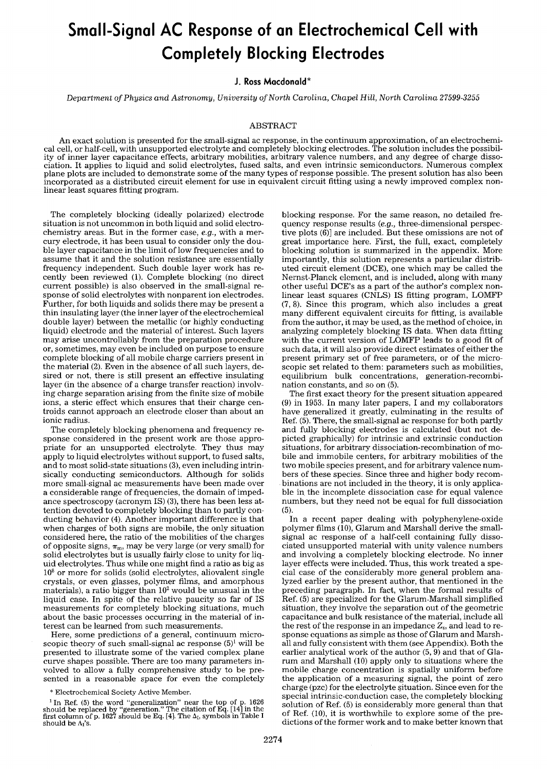# **Small-Signal AC Response of an Electrochemical Cell with Completely Blocking Electrodes**

# **J. Ross Macdonald\***

*Department of Physics and Astronomy, University of North Carolina, Chapel Hill, North Carolina 27599-3255* 

### ABSTRACT

An exact solution is presented for the small-signal ac response, in the continuum approximation, of an electrochemical cell, or half-cell, with unsupported electrolyte and completely blocking electrodes. The solution includes the possibility of inner layer capacitance effects, arbitrary mobilities, arbitrary valence numbers, and any degree of charge dissociation. It applies to liquid and solid electrolytes, fused salts, and even intrinsic semiconductors. Numerous complex plane plots are included to demonstrate some of the many types of response possible. The present solution has also been incorporated as a distributed circuit element for use in equivalent circuit fitting using a newly improved complex nonlinear least squares fitting program.

The completely blocking (ideally polarized) electrode situation is not uncommon in both liquid and solid electrochemistry areas. But in the former case, *e.g.,* with a mercury electrode, it has been usual to consider only the double layer capacitance in the limit of low frequencies and to assume that it and the solution resistance are essentially frequency independent. Such double layer work has recently been reviewed (1). Complete blocking (no direct current possible) is also observed in the small-signal response of solid electrolytes with nonparent ion electrodes. Further, for both liquids and solids there may be present a thin insulating layer (the inner layer of the electrochemical double layer) between the metallic (or highly conducting liquid) electrode and the material of interest. Such layers may arise uncontrollably from the preparation procedure or, sometimes, may even be included on purpose to ensure complete blocking of all mobile charge carriers present in the material (2). Even in the absence of all such layers, desired or not, there is still present an effective insulating layer (in the absence of a charge transfer reaction) involving charge separation arising from the finite size of mobile ions, a steric effect which ensures that their charge centroids cannot approach an electrode closer than about an ionic radius.

The completely blocking phenomena and frequency response considered in the present work are those appropriate for an unsupported electrolyte. They thus may apply to liquid electrolytes without support, to fused salts, and to most solid-state situations (3), even including intrinsically conducting semiconductors. Although for solids more small-signal ac measurements have been made over a considerable range of frequencies, the domain of impedance spectroscopy (acronym IS) (3), there has been less attention devoted to completely blocking than to partly conducting behavior (4). Another important difference is that when charges of both signs are mobile, the only situation considered here, the ratio of the mobilities of the charges of opposite signs,  $\pi_m$ , may be very large (or very small) for solid electrolytes but is usually fairly close to unity for liquid electrolytes. Thus while one might find a ratio as big as  $10<sup>8</sup>$  or more for solids (solid electrolytes, aliovalent single crystals, or even glasses, polymer films, and amorphous materials), a ratio bigger than  $10<sup>2</sup>$  would be unusual in the liquid case. In spite of the relative paucity so far of IS measurements for completely blocking situations, much about the basic processes occurring in the material of interest can be learned from such measurements.

Here, some predictions of a general, continuum microscopic theory of such small-signal ac response  $(5)^1$  will be presented to illustrate some of the varied complex plane curve shapes possible. There are too many parameters involved to allow a fully comprehensive study to be presented in a reasonable space for even the completely

blocking response. For the same reason, no detailed frequency response results *(e.g.,* three-dimensional perspective plots (6)] are included. But these omissions are not of great importance here. First, the full, exact, completely blocking solution is summarized in the appendix. More importantly, this solution represents a particular distributed circuit element (DCE), one which may be called the Nernst-Planck element, and is included, along with many other useful DCE's as a part of the author's complex nonlinear least squares (CNLS) IS fitting program, LOMFP (7, 8). Since this program, which also includes a great many different equivalent circuits for fitting, is available from the author, it may be used, as the method of choice, in analyzing completely blocking IS data. When data fitting with the current version of LOMFP leads to a good fit of such data, it will also provide direct estimates of either the present primary set of free parameters, or of the microscopic set related to them: parameters such as mobilities, equilibrium bulk concentrations, generation-recombination constants, and so on (5).

The first exact theory for the present situation appeared (9) in 1953. In many later papers, I and my collaborators have generalized it greatly, culminating in the results of Ref. (5). There, the small-signal ac response for both partly and fully blocking electrodes is calculated (but not depicted graphically) for intrinsic and extrinsic conduction situations, for arbitrary dissociation-recombination of mobile and immobile centers, for arbitrary mobilities of the two mobile species present, and for arbitrary valence numbers of these species. Since three and higher body recombinations are not included in the theory, it is only applicable in the incomplete dissociation case for equal valence numbers, but they need not be equal for full dissociation (5).

In a recent paper dealing with polyphenylene-oxide polymer films (10), Glarum and Marshall derive the smallsignal ac response of a half-cell containing fully dissociated unsupported material with unity valence numbers and involving a completely blocking electrode. No inner layer effects were included. Thus, this work treated a special case of the considerably more general problem analyzed earlier by the present author, that mentioned in the preceding paragraph. In fact, when the formal results of Ref. (5) are specialized for the Glarum-Marshall simplified situation, they involve the separation out of the geometric capacitance and bulk resistance of the material, include all the rest of the response in an impedance  $Z_s$ , and lead to response equations as simple as those of Glarum and Marshall and fully consistent with them (see Appendix). Both the earlier analytical work of the author (5, 9) and that of Glarum and Marshall (10) apply only to situations where the mobile charge concentration is spatially uniform before the application of a measuring signal, the point of zero charge (pzc) for the electrolyte situation. Since even for the special intrinsic-conduction case, the completely blocking solution of Ref. (5) is considerably more general than that of Ref. (10), it is worthwhile to explore some of the predictions of the former work and to make better known that

<sup>\*</sup> Electrochemical Society Active Member.

<sup>&</sup>lt;sup>1</sup> In Ref. (5) the word "generalization" near the top of p. 1626 should be replaced by "generation." The citation of Eq. [14] in the first column of p. 1627 should be Eq. [4]. The  $\Delta_L$ , symbols in Table I should be  $\Lambda$ <sup>'</sup>s.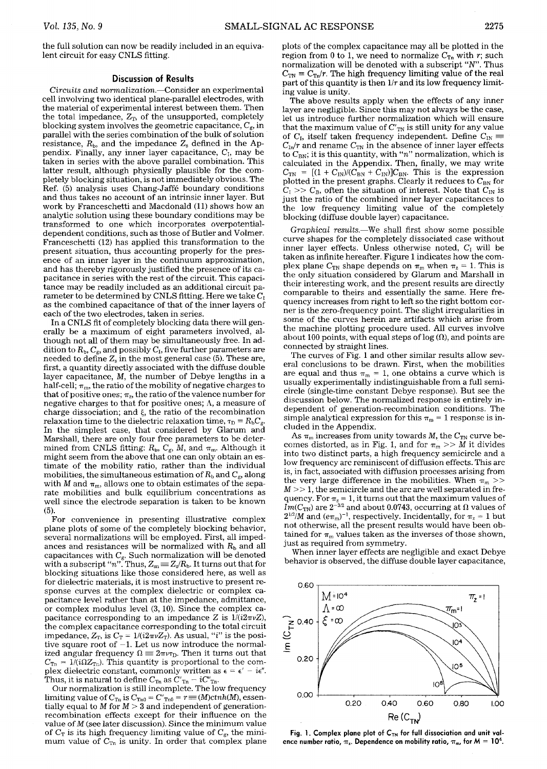## **Discussion of Results**

*Circuits and normalization.--Consider* an experimental cell involving two identical plane-parallel electrodes, with the material of experimental interest between them. Then the total impedance,  $Z_T$ , of the unsupported, completely blocking system involves the geometric capacitance,  $C_{g}$ , in parallel with the series combination of the bulk of solution resistance,  $R_{\rm b}$ , and the impedance  $Z_{\rm s}$  defined in the Appendix. Finally, any inner layer capacitance,  $C_I$ , may be taken in series with the above parallel combination. This latter result, although physically plausible for the completely blocking situation, is not immediately obvious. The Ref. (5) analysis uses Chang-Jaff6 boundary conditions and thus takes no account of an intrinsic inner layer. But work by Franceschetti and Macdonald (11) shows how an analytic solution using these boundary conditions may be transformed to one which incorporates overpotentialdependent conditions, such as those of Butler and Volmer. Franceschetti (12) has applied this transformation to the present situation, thus accounting properly for the presence of an inner layer in the continuum approximation, and hasthereby rigorously justified the presence of its capacitance in series with the rest of the circuit. This capacitance may be readily included as an additional circuit parameter to be determined by CNLS fitting. Here we take  $C_1$ as the combined capacitance of that of the inner layers of each of the two electrodes, taken in series.

In a CNLS fit of completely blocking data there will generally be a maximum of eight parameters involved, although not all of them may be simultaneously free. In addition to  $R_{\rm b}$ ,  $C_{\rm g}$ , and possibly  $C_{\rm I}$ , five further parameters are needed to define  $Z_s$  in the most general case (5). These are, first, a quantity directly associated with the diffuse double layer capacitance, M, the number of Debye lengths in a half-cell;  $\pi_m$ , the ratio of the mobility of negative charges to that of positive ones;  $\pi_{z}$ , the ratio of the valence number for negative charges to that for positive ones; A, a measure of charge dissociation; and  $\xi$ , the ratio of the recombination relaxation time to the dielectric relaxation time,  $\tau_D = R_b C_g$ . In the simplest case, that considered by Glarum and Marshall, there are only four free parameters to be determined from CNLS fitting:  $R_b$ ,  $C_g$ , M, and  $\pi_m$ . Although it might seem from the above that one can only obtain an estimate of the mobility ratio, rather than the individual mobilities, the simultaneous estimation of  $R<sub>b</sub>$  and  $C<sub>g</sub>$ , along with M and  $\pi_m$ , allows one to obtain estimates of the separate mobilities and bulk equilibrium concentrations as well since the electrode separation is taken to be known (5).

For convenience in presenting illustrative complex plane plots of some of the completely blocking behavior, several normalizations will be employed. First, all impedances and resistances will be normalized with  $R<sub>b</sub>$  and all capacitances with  $C_{\rm g}$ . Such normalization will be denoted with a subscript " $n$ ". Thus,  $Z_{\rm sn}$   $\equiv$   $Z_{\rm s}/R_{\rm b}$ . It turns out that for blocking situations like those considered here, as well as for dielectric materials, it is most instructive to present response curves at the complex dielectric or complex capacitance level rather than at the impedance, admittance, or complex modulus level (3, 10). Since the complex capacitance corresponding to an impedance Z is  $1/(i2\pi\nu Z)$ , the complex capacitance corresponding to the total circuit impedance,  $Z_{\scriptscriptstyle\rm T}$ , is  $C_{\scriptscriptstyle\rm T}=1/(i2\pi\nu Z_{\scriptscriptstyle\rm T}).$  As usual, " $i$ " is the positive square root of  $-1$ . Let us now introduce the normalized angular frequency  $\Omega = 2\pi \nu \tau_D$ . Then it turns out that  $C_{\text{Tr}} = 1/(i\Omega Z_{\text{Tr}})$ . This quantity is proportional to the complex dielectric constant, commonly written as  $\epsilon = \epsilon' - i\epsilon''$ . Thus, it is natural to define  $C_{\text{Tr}}$  as  $C'_{\text{Tr}} - iC''_{\text{Tr}}$ .

Our normalization is still incomplete. The low frequency limiting value of  $C_{\text{Ta}}$  is  $C_{\text{Ta}0}$  =  $C\rq{}_{\text{Ta}0}$  =  $r$   $\equiv$  (M)c $tnh(M)$ , essentially equal to M for  $M > 3$  and independent of generationrecombination effects except for their influence on the value of  $M$  (see later discussion). Since the minimum value of  $C_T$  is its high frequency limiting value of  $C_g$ , the minimum value of  $C_{\text{Tr}}$  is unity. In order that complex plane

plots of the complex capacitance may all be plotted in the

region from 0 to 1, we need to normalize  $C_{\text{Ta}}$  with r; such normalization will be denoted with a subscript "N". Thus  $C_{\text{TN}} \equiv C_{\text{TN}}/r$ . The high frequency limiting value of the real part of this quantity is then *1/r* and its low frequency limiting value is unity.

The above results apply when the effects of any inner layer are negligible. Since this may not always be the case, let us introduce further normalization which will ensure that the maximum value of  $C'_{TN}$  is still unity for any value of C<sub>I</sub>, itself taken frequency independent. Define  $C_{\text{IN}} \equiv$  $C_{\text{In}}/r$  and rename  $C_{\text{TN}}$  in the absence of inner layer effects to  $C_{BN}$ ; it is this quantity, with "n" normalization, which is calculated in the Appendix. Then, finally, we may write  $C_{\text{TN}} = [(1 + C_{\text{IN}})/(C_{\text{BN}} + C_{\text{IN}})]C_{\text{BN}}$ . This is the expression plotted in the present graphs. Clearly it reduces to  $C_{BN}$  for  $C_I >> C_B$ , often the situation of interest. Note that  $C_{\text{IN}}$  is just the ratio of the combined inner layer capacitances to the low frequency limiting value of the completely blocking (diffuse double layer) capacitance.

*Graphical resutts.--We* shall first show some possible curve shapes for the completely dissociated case without inner layer effects. Unless otherwise noted,  $C_{I}$  will be taken as infinite hereafter. Figure 1 indicates how the complex plane C<sub>TN</sub> shape depends on  $\pi_{m}$  when  $\pi_{z} = 1$ . This is the only situation considered by Glarum and Marshall in their interesting work, and the present results are directly comparable to theirs and essentially the same. Here frequency increases from right to left so the right bottom corner is the zero-frequency point. The slight irregularities in some of the curves herein are artifacts which arise from the machine plotting procedure used. All curves involve about 100 points, with equal steps of  $log(\Omega)$ , and points are connected by straight lines.

The curves of Fig. 1 and other similar results allow several conclusions to be drawn. First, when the mobilities are equal and thus  $\pi_m = 1$ , one obtains a curve which is usually experimentally indistinguishable from a full semicircle (single-time constant Debye response). But see the discussion below. The normalized response is entirely independent of generation-recombination conditions. The simple analytical expression for this  $\pi_{\rm m} = 1$  response is included in the Appendix.

As  $\pi_m$  increases from unity towards M, the  $C_{TN}$  curve becomes distorted, as in Fig. 1, and for  $\pi_m >> \tilde{M}$  it divides into two distinct parts, a high frequency semicircle and a low frequency arc reminiscent of diffusion effects. This arc is, in fact, associated with diffusion processes arising from the very large difference in the mobilities. When  $\pi_m$  >>  $M >> 1$ , the semicircle and the arc are well separated in frequency. For  $\pi_{\rm z}$  = 1, it turns out that the maximum values of  $Im(C_{\rm TN})$  are  $2^{-3/2}$  and about 0.0743, occurring at  $\Omega$  values of  $2^{1/2}/M$  and  $(e\pi_{\rm m})^{-1}$ , respectively. Incidentally, for  $\pi_{\rm z}=1$  but not otherwise, all the present results would have been obtained for  $\pi_m$  values taken as the inverses of those shown, just as required from symmetry.

When inner layer effects are negligible and exact Debye behavior is observed, the diffuse double layer capacitance,



Fig. 1. Complex plane plot of C<sub>TN</sub> for full dissociation and unit valence number ratio,  $\pi_z$ . Dependence on mobility ratio,  $\pi_m$ , for  $M = 10^4$ .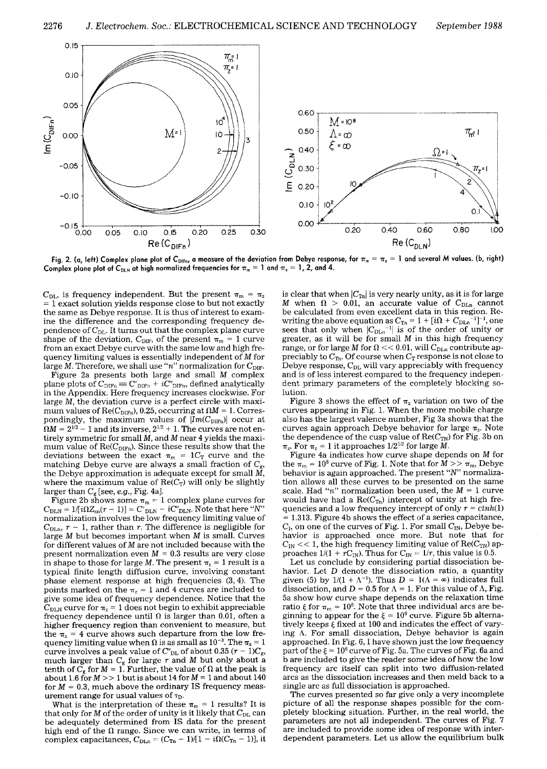

Fig. 2. (a, left) Complex plane plot of C<sub>DIFn</sub>, a measure of the deviation from Debye response, for  $\pi_m=\pi_z=1$  and several M values. (b, right) Complex plane plot of C<sub>DLN</sub> at high normalized frequencies for  $\pi_m = 1$  and  $\pi_z = 1$ , 2, and 4.

 $C_{\text{DL}}$ , is frequency independent. But the present  $\pi_{\text{m}} = \pi_{\text{z}}$ = 1 exact solution yields response close to but not exactly the same as Debye response. It is thus of interest to examine the difference and the corresponding frequency dependence of  $C_{\text{DL}}$ . It turns out that the complex plane curve shape of the deviation,  $C_{\text{DIF}}$ , of the present  $\pi_m = 1$  curve from an exact Debye curve with the same low and high frequency limiting values is essentially independent of M for large M. Therefore, we shall use "n" normalization for  $C_{\text{DIF}}$ .

Figure 2a presents both large and small M complex plane plots of  $C_{\text{DIFn}} = C'_{\text{DIFn}} + iC''_{\text{DIFn}}$ , defined analytically in the Appendix. Here frequency increases clockwise. For large M, the deviation curve is a perfect circle with maximum values of Re( $C_{\text{DIFn}}$ ), 0.25, occurring at  $\Omega M = 1$ . Correspondingly, the maximum values of  $|Im(C_{\text{DIFn}})|$  occur at  $\Omega M = 2^{1/2} - 1$  and its inverse,  $2^{1/2} + 1$ . The curves are not entirely symmetric for small M, and M near 4 yields the maximum value of  $\mathrm{Re}(C_{\mathrm{DIFn}})$ . Since these results show that the deviations between the exact  $\pi_m = 1C_T$  curve and the matching Debye curve are always a small fraction of  $C_{\rm g}$ , the Debye approximation is adequate except for small  $\tilde{M}$ , where the maximum value of  $Re(C_T)$  will only be slightly larger than  $C_g$  [see, *e.g.*, Fig. 4a].

Figure 2b shows some  $\pi_m = 1$  complex plane curves for  $C_{\text{DLN}} = 1/[i\Omega Z_{\text{sn}}(r-1)] = C_{\text{DLN}}^{\prime\prime} - iC_{\text{DLN}}^{\prime\prime}$ . Note that here "N" normalization involves the low frequency limiting value of  $C_{\text{DLn}}$ ,  $r-1$ , rather than r. The difference is negligible for large  $M$  but becomes important when  $M$  is small. Curves for different values of M are not included because with the present normalization even  $M = 0.3$  results are very close in shape to those for large M. The present  $\pi$ <sub>2</sub> = 1 result is a typical finite length diffusion curve, involving constant phase element response at high frequencies (3, 4). The points marked on the  $\pi$ <sub>z</sub> = 1 and 4 curves are included to give some idea of frequency dependence. Notice that the  $C_{\text{DLN}}$  curve for  $\pi_z = 1$  does not begin to exhibit appreciable frequency dependence until  $\Omega$  is larger than 0.01, often a higher frequency region than convenient to measure, but the  $\pi_z$  = 4 curve shows such departure from the low frequency limiting value when  $\Omega$  is as small as  $10^{-3}$ . The  $\pi_z = 1$ curve involves a peak value of  $C''_{\text{DL}}$  of about 0.35  $(r-1)C_{\text{g}}$ , much larger than  $C_{g}$  for large  $r$  and  $M$  but only about a tenth of  $C_g$  for  $M = 1$ . Further, the value of  $\Omega$  at the peak is about 1.6 for  $M >> 1$  but is about 14 for  $M = 1$  and about 140 for  $M = 0.3$ , much above the ordinary IS frequency measurement range for usual values of  $\tau_{D}$ .

What is the interpretation of these  $\pi_m = 1$  results? It is that only for M of the order of unity is it likely that  $C_{\text{DL}}$  can be adequately determined from IS data for the present high end of the  $\Omega$  range. Since we can write, in terms of complex capacitances,  $C_{\text{DLn}} = (C_{\text{Tr}} - 1)/[1 - i\Omega(C_{\text{Tr}} - 1)]$ , it

is clear that when  $|C_{\text{Th}}|$  is very nearly unity, as it is for large M when  $\Omega > 0.01$ , an accurate value of  $C_{\text{DLn}}$  cannot be calculated from even excellent data in this region. Rewriting the above equation as  $C_{\text{Tr}} = 1 + [i\Omega + C_{\text{DLn}}]^{-1}$ , one sees that only when  $|C_{\text{DLn}}^{-1}|$  is of the order of unity or greater, as it will be for small M in this high frequency range, or for large M for  $\Omega$  << 0.01, will C<sub>DLn</sub> contribute appreciably to  $C_{\text{Tr}}$ . Of course when  $C_{\text{T}}$  response is not close to Debye response,  $C_{\text{DL}}$  will vary appreciably with frequency and is of less interest compared to the frequency independent primary parameters of the completely blocking solution.

Figure 3 shows the effect of  $\pi$ <sub>z</sub> variation on two of the curves appearing in Fig. 1. When the more mobile charge also has the largest valence number, Fig 3a shows that the curves again approach Debye behavior for large  $\pi_z$ . Note the dependence of the cusp value of  $\text{Re}(C_{TN})$  for Fig. 3b on  $\pi_z$ . For  $\pi_z = 1$  it approaches  $1/2^{1/2}$  for large M.

Figure 4a indicates how curve shape depends on M for the  $\pi_m = 10^8$  curve of Fig. 1. Note that for  $M >> \pi_m$ , Debye behavior is again approached. The present "N" normalization allows all these curves to be presented on the same scale. Had "n" normalization been used, the  $M = 1$  curve would have had a  $Re(C_{Tn})$  intercept of unity at high frequencies and a low frequency intercept of only  $r = ctnh(1)$  $= 1.313$ . Figure 4b shows the effect of a series capacitance,  $C_I$ , on one of the curves of Fig. 1. For small  $C_{IN}$ , Debye behavior is approached once more. But note that for  $C_{\text{IN}} \ll 1$ , the high frequency limiting value of  $\text{Re}(C_{\text{TN}})$  approaches  $1/(1 + rC_{\text{IN}})$ . Thus for  $C_{\text{IN}} = 1/r$ , this value is 0.5.

Let us conclude by considering partial dissociation behavior. Let D denote the dissociation ratio, a quantity given (5) by  $1/(1 + \Lambda^{-1})$ . Thus  $D = 1(\Lambda = \infty)$  indicates full dissociation, and  $D = 0.5$  for  $\Lambda = 1$ . For this value of  $\Lambda$ , Fig. 5a show how curve shape depends on the relaxation time ratio  $\xi$  for  $\pi_m = 10^8$ . Note that three individual arcs are beginning to appear for the  $\xi = 10^6$  curve. Figure 5b alternatively keeps  $\xi$  fixed at 100 and indicates the effect of varying A. For small dissociation, Debye behavior is again approached. In Fig. 6, I have shown just the low frequency part of the  $\xi = 10^6$  curve of Fig. 5a. The curves of Fig. 6a and b are included to give the reader some idea of how the low frequency arc itself can split into two diffusion-related arcs as the dissociation increases and then meld back to a single arc as full dissociation is approached.

The curves presented so far give only a very incomplete picture of all the response shapes possible for the completely blocking situation. Further, in the real world, the parameters are not all independent. The curves of Fig. 7 are included to provide some idea of response with interdependent parameters. Let us allow the equilibrium bulk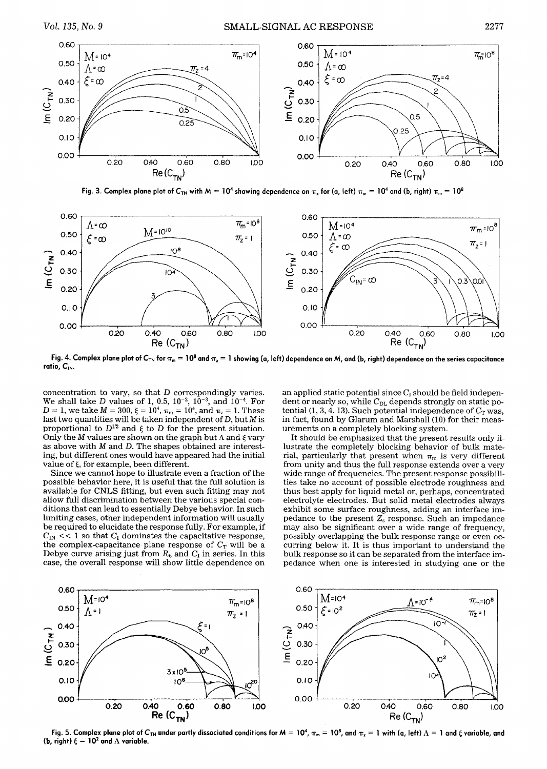

Fig. 3. Complex plane plot of  $C_{TN}$  with  $M = 10^4$  showing dependence on  $\pi_z$  for (a, left)  $\pi_m = 10^4$  and (b, right)  $\pi_m = 10^8$ 



Fig. 4. Complex plane plot of C<sub>TN</sub> for  $\pi_m = 10^8$  and  $\pi_z = 1$  showing (a, left) dependence on M, and (b, right) dependence on the series capacitance ratio, C<sub>IN</sub>.

concentration to vary, so that D correspondingly varies. We shall take D values of 1, 0.5,  $10^{-2}$ ,  $10^{-3}$ , and  $10^{-4}$ . For  $D = 1$ , we take  $M = 300$ ,  $\xi = 10^4$ ,  $\pi_m = 10^4$ , and  $\pi_z = 1$ . These last two quantities will be taken independent of  $D$ , but  $M$  is proportional to  $D^{1/2}$  and  $\xi$  to D for the present situation. Only the *M* values are shown on the graph but  $\Lambda$  and  $\xi$  vary as above with M and D. The shapes obtained are interesting, but different ones would have appeared had the initial value of  $\xi$ , for example, been different.

Since we cannot hope to illustrate even a fraction of the possible behavior here, it is useful that the full solution is available for CNLS fitting, but even such fitting may not allow full discrimination between the various special conditions that can lead to essentially Debye behavior. In such limiting cases, other independent information will usually be required to elucidate the response fully. For example, if  $C_{\text{IN}} \ll 1$  so that  $C_{\text{I}}$  dominates the capacitative response, the complex-capacitance plane response of  $C_T$  will be a Debye curve arising just from  $R_b$  and  $C_I$  in series. In this case, the overall response will show little dependence on an applied static potential since  $C<sub>I</sub>$  should be field independent or nearly so, while  $C_{DL}$  depends strongly on static potential (1, 3, 4, 13). Such potential independence of  $C_T$  was, in fact, found by Glarum and Marshall (10) for their measurements on a completely blocking system.

It should be emphasized that the present results only illustrate the completely blocking behavior of bulk material, particularly that present when  $\pi_m$  is very different from unity and thus the full response extends over a very wide range of frequencies. The present response possibilities take no account of possible electrode roughness and thus best apply for liquid metal or, perhaps, concentrated electrolyte electrodes. But solid metal electrodes always exhibit some surface roughness, adding an interface impedance to the present  $Z_s$  response. Such an impedance may also be significant over a wide range of frequency, possibly overlapping the bulk response range or even occurring below it. It is thus important to understand the bulk response so it can be separated from the interface impedance when one is interested in studying one or the



**Fig.** 5. Complex plane plot of C<sub>TN</sub> under partly dissociated conditions for M = 10<sup>4</sup>,  $\pi_m$  = 10<sup>8</sup>, and  $\pi_x$  = 1 with (a, left)  $\Lambda$  = 1 and  $\xi$  variable, and (b, right)  $\xi = 10^2$  and  $\Lambda$  variable.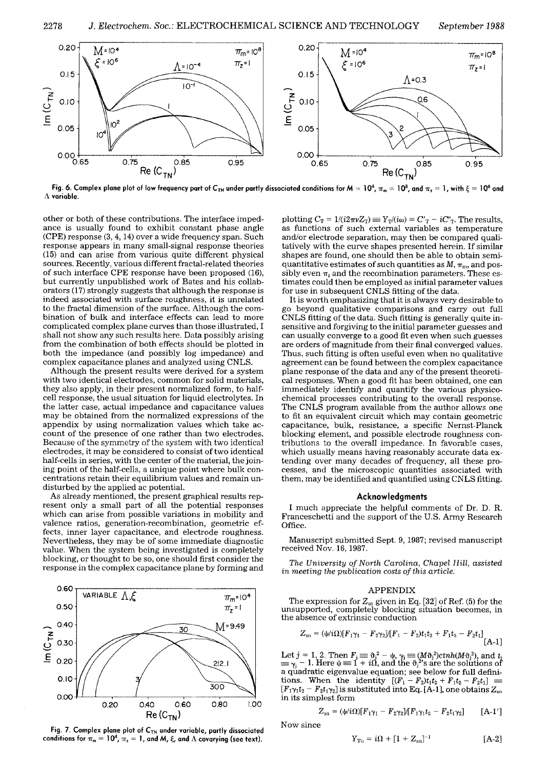

Fig. 6. Complex plane plot of low frequency part of C<sub>TN</sub> under partly dissociated conditions for M = 10<sup>4</sup>,  $\pi_m$  = 10<sup>8</sup>, and  $\pi_z$  = 1, with  $\xi$  = 10<sup>6</sup> and **A variable.** 

other or both of these contributions. The interface impedance is usually found to exhibit constant phase angle (CPE) response (3, 4, 14) over a wide frequency span. Such response appears in many small-signal response theories (15) and can arise from various quite different physical sources. Recently, various different fractal-related theories of such interface CPE response have been proposed (16), but currently unpublished work of Bates and his collaborators (17) strongly suggests that although the response is indeed associated with surface roughness, it is unrelated to the fractal dimension of the surface. Although the combination of bulk and interface effects can lead to more complicated complex plane curves than those illustrated, I shall not show any such results here. Data possibly arising from the combination of both effects should be plotted in both the impedance (and possibly log impedance) and complex capacitance planes and analyzed using CNLS.

Although the present results were derived for a system with two identical electrodes, common for solid materials, they also apply, in their present normalized form, to halfcell response, the usual situation for liquid electrolytes. In the latter case, actual impedance and capacitance values may be obtained from the normalized expressions of the appendix by using normalization values which take account of the presence of one rather than two electrodes. Because of the symmetry of the system with two identical electrodes, it may be considered to consist of two identical half-cells in series, with the center of the material, the joining point of the half-cells, a unique point where bulk concentrations retain their equilibrium values and remain undisturbed by the applied ac potential.

As already mentioned, the present graphical results represent only a small part of all the potential responses which can arise from possible variations in mobility and valence ratios, generation-recombination, geometric effects, inner layer capacitance, and electrode roughness. Nevertheless, they may be of some immediate diagnostic value. When the system being investigated is completely blocking, or thought to be so, one should first consider the response in the complex capacitance plane by forming and



Fig. 7. Complex plane plot of C<sub>TN</sub> under variable, partly dissociated conditions for  $\pi_m = 10^4$ ,  $\pi_z = 1$ , and M,  $\xi$ , and  $\Lambda$  covarying (see text).

plotting  $C_T = 1/(i2\pi\nu Z_T) \equiv Y_T/(i\omega) = C'_T - iC''_T$ . The results, as functions of such external variables as temperature and/or electrode separation, may then be compared qualitatively with the curve shapes presented herein. If similar shapes are found, one should then be able to obtain semiquantitative estimates of such quantities as  $M$ ,  $\pi_{\rm m}$ , and possibly even  $\pi$ , and the recombination parameters. These estimates could then be employed as initial parameter values for use in subsequent CNLS fitting of the data.

It is worth emphasizing that it is always very desirable to go beyond qualitative comparisons and carry out full CNLS fitting of the data. Such fitting is generally quite insensitive and forgiving to the initial parameter guesses and can usually converge to a good fit even when such guesses are orders of magnitude from their final converged values. Thus, such fitting is often useful even when no qualitative agreement can be found between the complex capacitance plane response of the data and any of the present theoretical responses. When a good fit has been obtained, one can immediately identify and quantify the various physicochemical processes contributing to the overall response. The CNLS program available from the author allows one to fit an equivalent circuit which may contain geometric capacitance, bulk, resistance, a specific Nernst-Planck blocking element, and possible electrode roughness contributions to the overall impedance. In favorable cases, which usually means having reasonably accurate data extending over many decades of frequency, all these processes, and the microscopic quantities associated with them, may be identified and quantified using CNLS fitting.

## **Acknowledgments**

I much appreciate the helpful comments of Dr. D. R. Franceschetti and the support of the U.S. Army Research Office.

Manuscript submitted Sept. 9, 1987; revised manuscript received Nov. 16, 1987.

The University of North Carolina, Chapel Hill, assisted *in meeting the publication costs of this article.* 

#### APPENDIX

The expression for  $Z_{sn}$  given in Eq. [32] of Ref. (5) for the unsupported, completely blocking situation becomes, in the absence of extrinsic conduction

$$
Z_{\rm sn} = (\psi/i\Omega)[F_1\gamma_1 - F_2\gamma_2][F_1 - F_2)t_1t_2 + F_1t_2 - F_2t_1]
$$
  
[A-1]

Let  $j = 1, 2$ . Then  $F_j \equiv \partial_j^2 - \psi$ ,  $\gamma_j \equiv (M \partial_j^2) \text{c}tnh(M \partial_j^2)$ , and  $t_j$  $\equiv \gamma_i - 1$ . Here  $\psi = 1 + i\Omega$ , and the  $\vartheta_i^2$ 's are the solutions of a quadratic eigenvalue equation; see below for full definitions. When the identity  $[(F_1 - F_2)t_1t_2 + F_1t_2 - F_2t_1]$  $[F_1\gamma_1t_2 - F_2t_1\gamma_2]$  is substituted into Eq. [A-1], one obtains  $Z_{sn}$ in its simplest form

$$
Z_{\rm sn} = (\psi / i\Omega)[F_1 \gamma_1 - F_2 \gamma_2]/[F_1 \gamma_1 t_2 - F_2 t_1 \gamma_2]
$$
 [A-1']

Now since

$$
Y_{\rm Tn} = i\Omega + [1 + Z_{\rm sn}]^{-1}
$$
 [A-2]